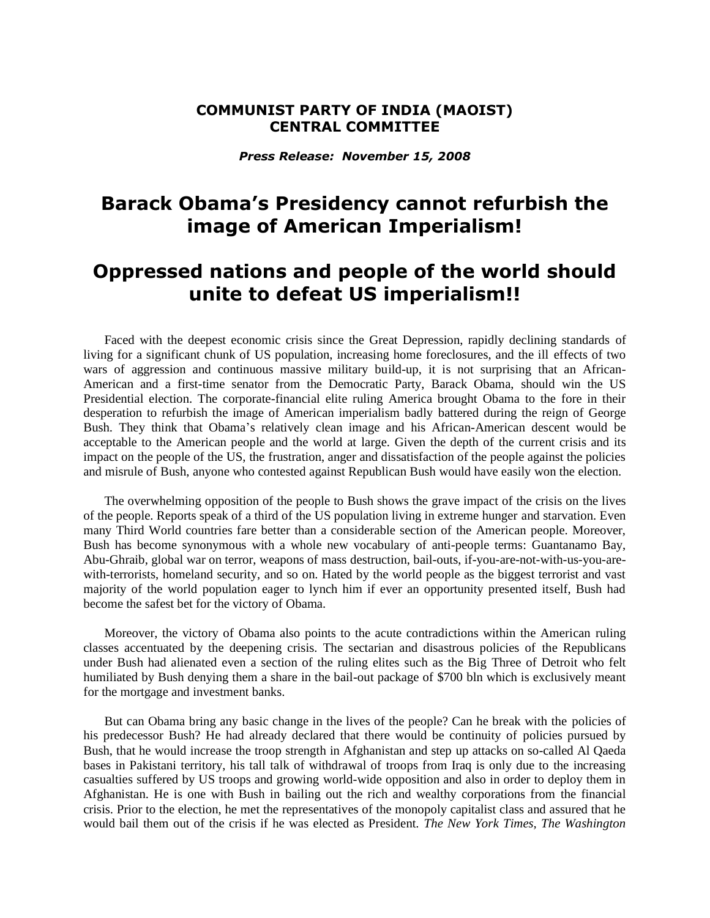## **COMMUNIST PARTY OF INDIA (MAOIST) CENTRAL COMMITTEE**

*Press Release: November 15, 2008*

## **Barack Obama's Presidency cannot refurbish the image of American Imperialism!**

## **Oppressed nations and people of the world should unite to defeat US imperialism!!**

Faced with the deepest economic crisis since the Great Depression, rapidly declining standards of living for a significant chunk of US population, increasing home foreclosures, and the ill effects of two wars of aggression and continuous massive military build-up, it is not surprising that an African-American and a first-time senator from the Democratic Party, Barack Obama, should win the US Presidential election. The corporate-financial elite ruling America brought Obama to the fore in their desperation to refurbish the image of American imperialism badly battered during the reign of George Bush. They think that Obama's relatively clean image and his African-American descent would be acceptable to the American people and the world at large. Given the depth of the current crisis and its impact on the people of the US, the frustration, anger and dissatisfaction of the people against the policies and misrule of Bush, anyone who contested against Republican Bush would have easily won the election.

The overwhelming opposition of the people to Bush shows the grave impact of the crisis on the lives of the people. Reports speak of a third of the US population living in extreme hunger and starvation. Even many Third World countries fare better than a considerable section of the American people. Moreover, Bush has become synonymous with a whole new vocabulary of anti-people terms: Guantanamo Bay, Abu-Ghraib, global war on terror, weapons of mass destruction, bail-outs, if-you-are-not-with-us-you-arewith-terrorists, homeland security, and so on. Hated by the world people as the biggest terrorist and vast majority of the world population eager to lynch him if ever an opportunity presented itself, Bush had become the safest bet for the victory of Obama.

Moreover, the victory of Obama also points to the acute contradictions within the American ruling classes accentuated by the deepening crisis. The sectarian and disastrous policies of the Republicans under Bush had alienated even a section of the ruling elites such as the Big Three of Detroit who felt humiliated by Bush denying them a share in the bail-out package of \$700 bln which is exclusively meant for the mortgage and investment banks.

But can Obama bring any basic change in the lives of the people? Can he break with the policies of his predecessor Bush? He had already declared that there would be continuity of policies pursued by Bush, that he would increase the troop strength in Afghanistan and step up attacks on so-called Al Qaeda bases in Pakistani territory, his tall talk of withdrawal of troops from Iraq is only due to the increasing casualties suffered by US troops and growing world-wide opposition and also in order to deploy them in Afghanistan. He is one with Bush in bailing out the rich and wealthy corporations from the financial crisis. Prior to the election, he met the representatives of the monopoly capitalist class and assured that he would bail them out of the crisis if he was elected as President. *The New York Times, The Washington*